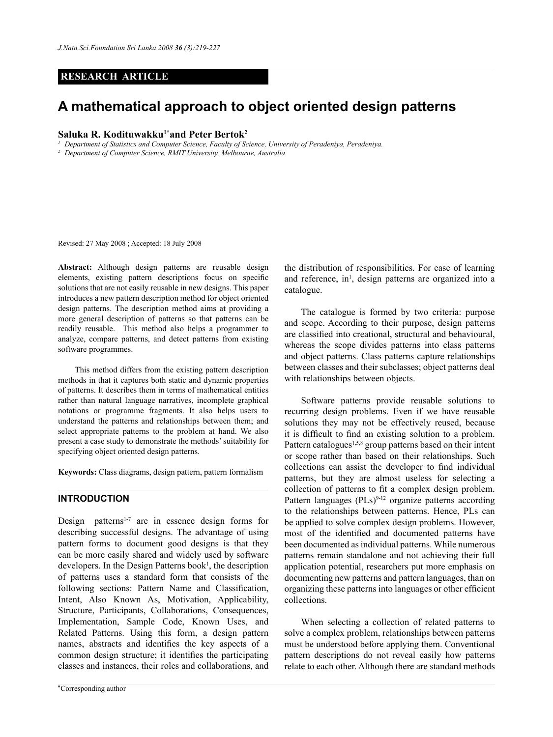# **RESEARCH ARTICLE**

# **A mathematical approach to object oriented design patterns**

## **Saluka R. Kodituwakku1\*and Peter Bertok2**

*<sup>1</sup> Department of Statistics and Computer Science, Faculty of Science, University of Peradeniya, Peradeniya.*

*<sup>2</sup> Department of Computer Science, RMIT University, Melbourne, Australia.*

Revised: 27 May 2008 ; Accepted: 18 July 2008

**Abstract:** Although design patterns are reusable design elements, existing pattern descriptions focus on specific solutions that are not easily reusable in new designs. This paper introduces a new pattern description method for object oriented design patterns. The description method aims at providing a more general description of patterns so that patterns can be readily reusable. This method also helps a programmer to analyze, compare patterns, and detect patterns from existing software programmes.

This method differs from the existing pattern description methods in that it captures both static and dynamic properties of patterns. It describes them in terms of mathematical entities rather than natural language narratives, incomplete graphical notations or programme fragments. It also helps users to understand the patterns and relationships between them; and select appropriate patterns to the problem at hand. We also present a case study to demonstrate the methods' suitability for specifying object oriented design patterns.

**Keywords:** Class diagrams, design pattern, pattern formalism

#### **Introduction**

Design patterns<sup>1-7</sup> are in essence design forms for describing successful designs. The advantage of using pattern forms to document good designs is that they can be more easily shared and widely used by software  $developers.$  In the Design Patterns book<sup>1</sup>, the description of patterns uses a standard form that consists of the following sections: Pattern Name and Classification, Intent, Also Known As, Motivation, Applicability, Structure, Participants, Collaborations, Consequences, Implementation, Sample Code, Known Uses, and Related Patterns. Using this form, a design pattern names, abstracts and identifies the key aspects of a common design structure; it identifies the participating classes and instances, their roles and collaborations, and

the distribution of responsibilities. For ease of learning and reference, in<sup>1</sup>, design patterns are organized into a catalogue.

The catalogue is formed by two criteria: purpose and scope. According to their purpose, design patterns are classified into creational, structural and behavioural, whereas the scope divides patterns into class patterns and object patterns. Class patterns capture relationships between classes and their subclasses; object patterns deal with relationships between objects.

Software patterns provide reusable solutions to recurring design problems. Even if we have reusable solutions they may not be effectively reused, because it is difficult to find an existing solution to a problem. Pattern catalogues<sup>1,5,8</sup> group patterns based on their intent or scope rather than based on their relationships. Such collections can assist the developer to find individual patterns, but they are almost useless for selecting a collection of patterns to fit a complex design problem. Pattern languages  $(PLs)^{9-12}$  organize patterns according to the relationships between patterns. Hence, PLs can be applied to solve complex design problems. However, most of the identified and documented patterns have been documented as individual patterns. While numerous patterns remain standalone and not achieving their full application potential, researchers put more emphasis on documenting new patterns and pattern languages, than on organizing these patterns into languages or other efficient collections.

When selecting a collection of related patterns to solve a complex problem, relationships between patterns must be understood before applying them. Conventional pattern descriptions do not reveal easily how patterns relate to each other. Although there are standard methods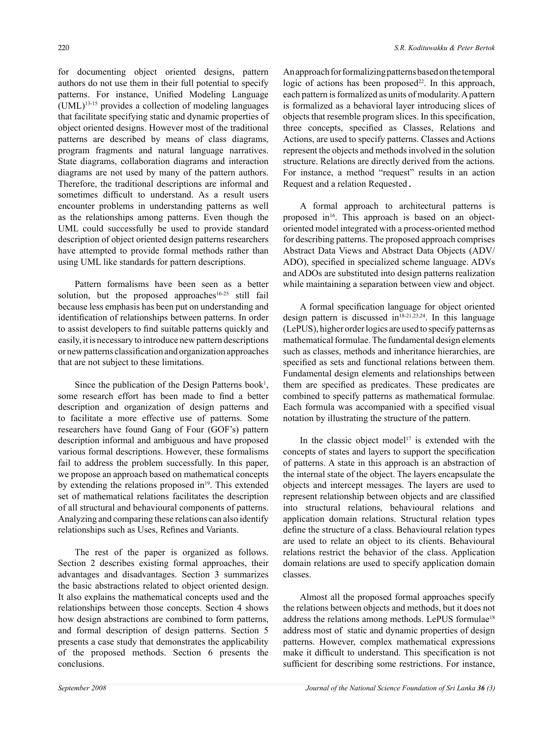for documenting object oriented designs, pattern authors do not use them in their full potential to specify patterns. For instance, Unified Modeling Language (UML)13-15 provides a collection of modeling languages that facilitate specifying static and dynamic properties of object oriented designs. However most of the traditional patterns are described by means of class diagrams, program fragments and natural language narratives. State diagrams, collaboration diagrams and interaction diagrams are not used by many of the pattern authors. Therefore, the traditional descriptions are informal and sometimes difficult to understand. As a result users encounter problems in understanding patterns as well as the relationships among patterns. Even though the UML could successfully be used to provide standard description of object oriented design patterns researchers have attempted to provide formal methods rather than using UML like standards for pattern descriptions.

Pattern formalisms have been seen as a better solution, but the proposed approaches<sup>16-25</sup> still fail because less emphasis has been put on understanding and identification of relationships between patterns. In order to assist developers to find suitable patterns quickly and easily, it is necessary to introduce new pattern descriptions or new patterns classification and organization approaches that are not subject to these limitations.

Since the publication of the Design Patterns book<sup>1</sup>, some research effort has been made to find a better description and organization of design patterns and to facilitate a more effective use of patterns. Some researchers have found Gang of Four (GOF's) pattern description informal and ambiguous and have proposed various formal descriptions. However, these formalisms fail to address the problem successfully. In this paper, we propose an approach based on mathematical concepts by extending the relations proposed in<sup>19</sup>. This extended set of mathematical relations facilitates the description of all structural and behavioural components of patterns. Analyzing and comparing these relations can also identify relationships such as Uses, Refines and Variants.

The rest of the paper is organized as follows. Section 2 describes existing formal approaches, their advantages and disadvantages. Section 3 summarizes the basic abstractions related to object oriented design. It also explains the mathematical concepts used and the relationships between those concepts. Section 4 shows how design abstractions are combined to form patterns, and formal description of design patterns. Section 5 presents a case study that demonstrates the applicability of the proposed methods. Section 6 presents the conclusions.

An approach for formalizing patterns based on the temporal logic of actions has been proposed<sup>22</sup>. In this approach, each pattern is formalized as units of modularity. A pattern is formalized as a behavioral layer introducing slices of objects that resemble program slices. In this specification, three concepts, specified as Classes, Relations and Actions, are used to specify patterns. Classes and Actions represent the objects and methods involved in the solution structure. Relations are directly derived from the actions. For instance, a method "request" results in an action Request and a relation Requested.

A formal approach to architectural patterns is proposed in<sup>16</sup>. This approach is based on an objectoriented model integrated with a process-oriented method for describing patterns. The proposed approach comprises Abstract Data Views and Abstract Data Objects (ADV/ ADO), specified in specialized scheme language. ADVs and ADOs are substituted into design patterns realization while maintaining a separation between view and object.

A formal specification language for object oriented design pattern is discussed in $18-21,23,24$ . In this language (LePUS), higher order logics are used to specify patterns as mathematical formulae. The fundamental design elements such as classes, methods and inheritance hierarchies, are specified as sets and functional relations between them. Fundamental design elements and relationships between them are specified as predicates. These predicates are combined to specify patterns as mathematical formulae. Each formula was accompanied with a specified visual notation by illustrating the structure of the pattern.

In the classic object model<sup>17</sup> is extended with the concepts of states and layers to support the specification of patterns. A state in this approach is an abstraction of the internal state of the object. The layers encapsulate the objects and intercept messages. The layers are used to represent relationship between objects and are classified into structural relations, behavioural relations and application domain relations. Structural relation types define the structure of a class. Behavioural relation types are used to relate an object to its clients. Behavioural relations restrict the behavior of the class. Application domain relations are used to specify application domain classes.

Almost all the proposed formal approaches specify the relations between objects and methods, but it does not address the relations among methods. LePUS formulae<sup>18</sup> address most of static and dynamic properties of design patterns. However, complex mathematical expressions make it difficult to understand. This specification is not sufficient for describing some restrictions. For instance,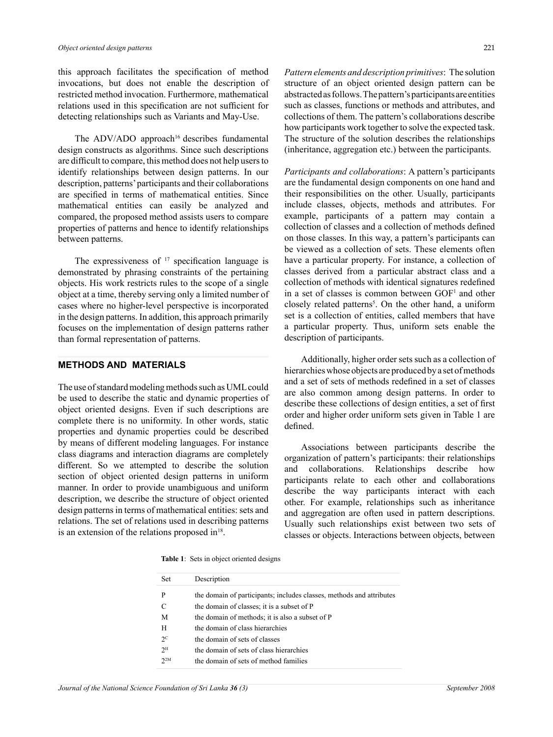this approach facilitates the specification of method invocations, but does not enable the description of restricted method invocation. Furthermore, mathematical relations used in this specification are not sufficient for detecting relationships such as Variants and May-Use.

The ADV/ADO approach<sup>16</sup> describes fundamental design constructs as algorithms. Since such descriptions are difficult to compare, this method does not help users to identify relationships between design patterns. In our description, patterns' participants and their collaborations are specified in terms of mathematical entities. Since mathematical entities can easily be analyzed and compared, the proposed method assists users to compare properties of patterns and hence to identify relationships between patterns.

The expressiveness of <sup>17</sup> specification language is demonstrated by phrasing constraints of the pertaining objects. His work restricts rules to the scope of a single object at a time, thereby serving only a limited number of cases where no higher-level perspective is incorporated in the design patterns. In addition, this approach primarily focuses on the implementation of design patterns rather than formal representation of patterns.

#### **methods and Materials**

The use of standard modeling methods such as UML could be used to describe the static and dynamic properties of object oriented designs. Even if such descriptions are complete there is no uniformity. In other words, static properties and dynamic properties could be described by means of different modeling languages. For instance class diagrams and interaction diagrams are completely different. So we attempted to describe the solution section of object oriented design patterns in uniform manner. In order to provide unambiguous and uniform description, we describe the structure of object oriented design patterns in terms of mathematical entities: sets and relations. The set of relations used in describing patterns is an extension of the relations proposed in $18$ .

*Pattern elements and description primitives*: The solution structure of an object oriented design pattern can be abstracted as follows. The pattern's participants are entities such as classes, functions or methods and attributes, and collections of them. The pattern's collaborations describe how participants work together to solve the expected task. The structure of the solution describes the relationships (inheritance, aggregation etc.) between the participants.

*Participants and collaborations*: A pattern's participants are the fundamental design components on one hand and their responsibilities on the other. Usually, participants include classes, objects, methods and attributes. For example, participants of a pattern may contain a collection of classes and a collection of methods defined on those classes. In this way, a pattern's participants can be viewed as a collection of sets. These elements often have a particular property. For instance, a collection of classes derived from a particular abstract class and a collection of methods with identical signatures redefined in a set of classes is common between  $GOF<sup>1</sup>$  and other closely related patterns<sup>5</sup>. On the other hand, a uniform set is a collection of entities, called members that have a particular property. Thus, uniform sets enable the description of participants.

Additionally, higher order sets such as a collection of hierarchies whose objects are produced by a set of methods and a set of sets of methods redefined in a set of classes are also common among design patterns. In order to describe these collections of design entities, a set of first order and higher order uniform sets given in Table 1 are defined.

Associations between participants describe the organization of pattern's participants: their relationships and collaborations. Relationships describe how participants relate to each other and collaborations describe the way participants interact with each other. For example, relationships such as inheritance and aggregation are often used in pattern descriptions. Usually such relationships exist between two sets of classes or objects. Interactions between objects, between

**Table 1**: Sets in object oriented designs

| Set            | Description                                                          |
|----------------|----------------------------------------------------------------------|
| P              | the domain of participants; includes classes, methods and attributes |
| C              | the domain of classes; it is a subset of P                           |
| M              | the domain of methods; it is also a subset of P                      |
| H              | the domain of class hierarchies                                      |
| $2^{\circ}$    | the domain of sets of classes                                        |
| $2^{\text{H}}$ | the domain of sets of class hierarchies                              |
| $2^{2M}$       | the domain of sets of method families                                |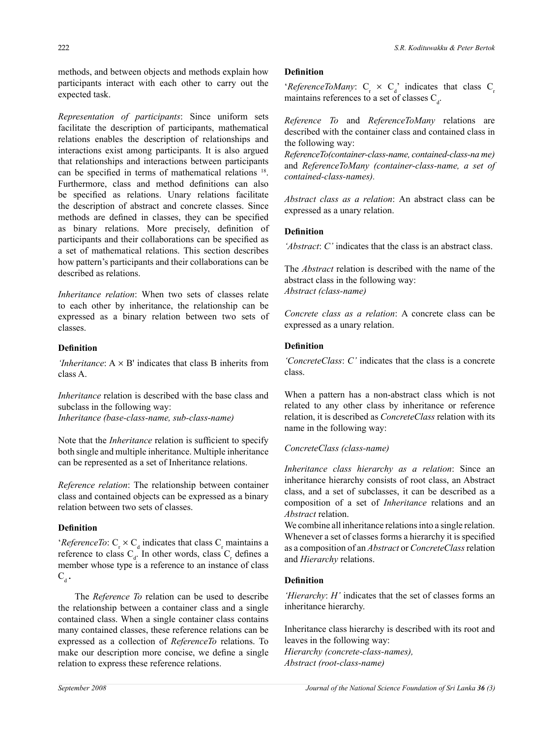methods, and between objects and methods explain how participants interact with each other to carry out the expected task.

*Representation of participants*: Since uniform sets facilitate the description of participants, mathematical relations enables the description of relationships and interactions exist among participants. It is also argued that relationships and interactions between participants can be specified in terms of mathematical relations 18. Furthermore, class and method definitions can also be specified as relations. Unary relations facilitate the description of abstract and concrete classes. Since methods are defined in classes, they can be specified as binary relations. More precisely, definition of participants and their collaborations can be specified as a set of mathematical relations. This section describes how pattern's participants and their collaborations can be described as relations.

*Inheritance relation*: When two sets of classes relate to each other by inheritance, the relationship can be expressed as a binary relation between two sets of classes.

# **Definition**

*'Inheritance*:  $A \times B'$  indicates that class B inherits from class A.

*Inheritance* relation is described with the base class and subclass in the following way: *Inheritance (base-class-name, sub-class-name)*

Note that the *Inheritance* relation is sufficient to specify both single and multiple inheritance. Multiple inheritance can be represented as a set of Inheritance relations.

*Reference relation*: The relationship between container class and contained objects can be expressed as a binary relation between two sets of classes.

# **Definition**

'*ReferenceTo*:  $C_r \times C_d$  indicates that class  $C_r$  maintains a reference to class  $C_d$ . In other words, class  $C_r$  defines a member whose type is a reference to an instance of class  $C_{d}$ .

The *Reference To* relation can be used to describe the relationship between a container class and a single contained class. When a single container class contains many contained classes, these reference relations can be expressed as a collection of *ReferenceTo* relations. To make our description more concise, we define a single relation to express these reference relations.

## **Definition**

'*ReferenceToMany*:  $C_r \times C_d$ ' indicates that class  $C_r$ maintains references to a set of classes  $C_d$ .

*Reference To* and *ReferenceToMany* relations are described with the container class and contained class in the following way:

*ReferenceTo(container-class-name, contained-class-na me)*  and *ReferenceToMany (container-class-name, a set of contained-class-names).*

*Abstract class as a relation*: An abstract class can be expressed as a unary relation.

# **Definition**

*'Abstract*: *C'* indicates that the class is an abstract class.

The *Abstract* relation is described with the name of the abstract class in the following way: *Abstract (class-name)*

*Concrete class as a relation*: A concrete class can be expressed as a unary relation.

#### **Definition**

*'ConcreteClass*: *C'* indicates that the class is a concrete class.

When a pattern has a non-abstract class which is not related to any other class by inheritance or reference relation, it is described as *ConcreteClass* relation with its name in the following way:

# *ConcreteClass (class-name)*

*Inheritance class hierarchy as a relation*: Since an inheritance hierarchy consists of root class, an Abstract class, and a set of subclasses, it can be described as a composition of a set of *Inheritance* relations and an *Abstract* relation.

We combine all inheritance relations into a single relation. Whenever a set of classes forms a hierarchy it is specified as a composition of an *Abstract* or *ConcreteClass* relation and *Hierarchy* relations.

# **Definition**

*'Hierarchy*: *H'* indicates that the set of classes forms an inheritance hierarchy.

Inheritance class hierarchy is described with its root and leaves in the following way: *Hierarchy (concrete-class-names),*

*Abstract (root-class-name)*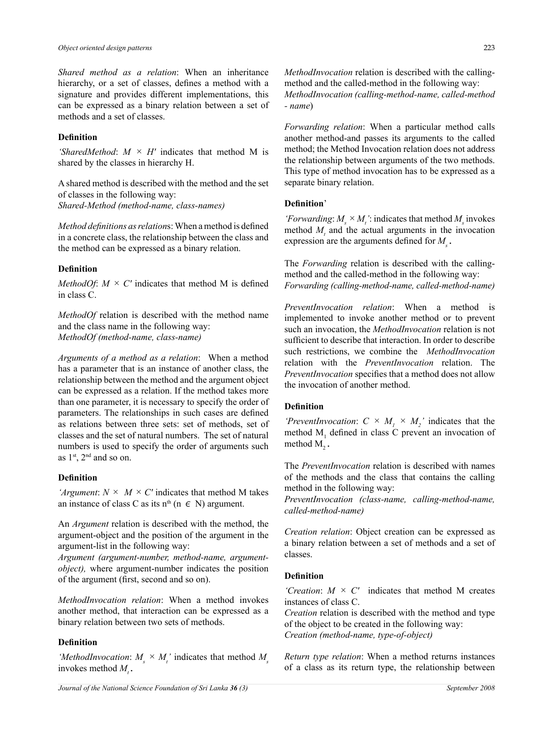*Shared method as a relation*: When an inheritance hierarchy, or a set of classes, defines a method with a signature and provides different implementations, this can be expressed as a binary relation between a set of methods and a set of classes.

## **Definition**

*'SharedMethod*: *M × H'* indicates that method M is shared by the classes in hierarchy H.

A shared method is described with the method and the set of classes in the following way: *Shared-Method (method-name, class-names)*

*Method definitions as relation*s: When a method is defined in a concrete class, the relationship between the class and the method can be expressed as a binary relation.

# **Definition**

*MethodOf:*  $M \times C'$  indicates that method M is defined in class C.

*MethodOf* relation is described with the method name and the class name in the following way: *MethodOf (method-name, class-name)*

*Arguments of a method as a relation*: When a method has a parameter that is an instance of another class, the relationship between the method and the argument object can be expressed as a relation. If the method takes more than one parameter, it is necessary to specify the order of parameters. The relationships in such cases are defined as relations between three sets: set of methods, set of classes and the set of natural numbers. The set of natural numbers is used to specify the order of arguments such as 1<sup>st</sup>, 2<sup>nd</sup> and so on.

#### **Definition**

*'Argument*:  $N \times M \times C'$  indicates that method M takes an instance of class C as its n<sup>th</sup> (n  $\in$  N) argument.

An *Argument* relation is described with the method, the argument-object and the position of the argument in the argument-list in the following way:

*Argument (argument-number, method-name, argumentobject),* where argument-number indicates the position of the argument (first, second and so on).

*MethodInvocation relation*: When a method invokes another method, that interaction can be expressed as a binary relation between two sets of methods.

# **Definition**

'*MethodInvocation*:  $M_s \times M_t$ ' indicates that method  $M_s$ invokes method  $M_t$ .

*MethodInvocation* relation is described with the callingmethod and the called-method in the following way: *MethodInvocation (calling-method-name, called-method - name*)

*Forwarding relation*: When a particular method calls another method-and passes its arguments to the called method; the Method Invocation relation does not address the relationship between arguments of the two methods. This type of method invocation has to be expressed as a separate binary relation.

#### **Definition**'

*'Forwarding*:  $M_s \times M_t$ ': indicates that method  $M_s$  invokes method  $M<sub>t</sub>$  and the actual arguments in the invocation expression are the arguments defined for  $M<sub>s</sub>$ .

The *Forwarding* relation is described with the callingmethod and the called-method in the following way: *Forwarding (calling-method-name, called-method-name)*

*PreventInvocation relation*: When a method is implemented to invoke another method or to prevent such an invocation, the *MethodInvocation* relation is not sufficient to describe that interaction. In order to describe such restrictions, we combine the *MethodInvocation* relation with the *PreventInvocation* relation. The *PreventInvocation* specifies that a method does not allow the invocation of another method.

# **Definition**

*'PreventInvocation:*  $C \times M_1 \times M_2$ ' indicates that the method  $M<sub>1</sub>$  defined in class C prevent an invocation of method  $M<sub>2</sub>$ .

The *PreventInvocation* relation is described with names of the methods and the class that contains the calling method in the following way:

*PreventInvocation (class-name, calling-method-name, called-method-name)*

*Creation relation*: Object creation can be expressed as a binary relation between a set of methods and a set of classes.

# **Definition**

*'Creation*:  $M \times C'$  indicates that method M creates instances of class C.

*Creation* relation is described with the method and type of the object to be created in the following way: *Creation (method-name, type-of-object)* 

*Return type relation*: When a method returns instances of a class as its return type, the relationship between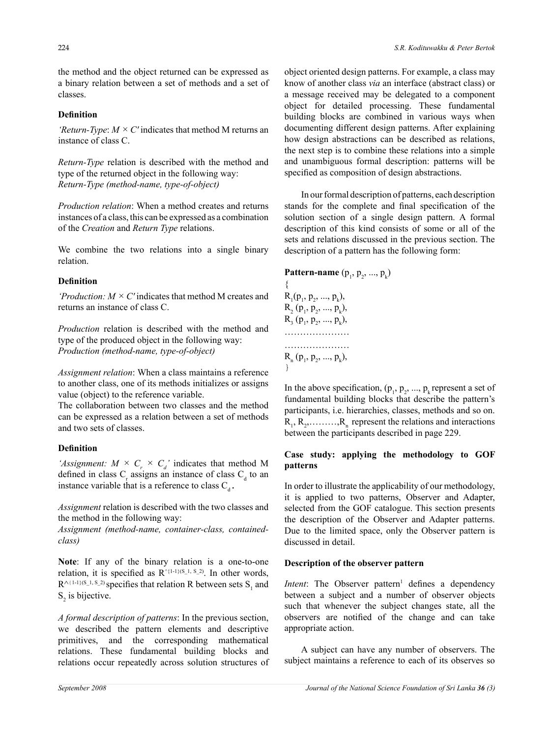the method and the object returned can be expressed as a binary relation between a set of methods and a set of classes.

#### **Definition**

*'Return-Type*: *M × C'* indicates that method M returns an instance of class C.

*Return-Type* relation is described with the method and type of the returned object in the following way: *Return-Type (method-name, type-of-object)*

*Production relation*: When a method creates and returns instances of a class, this can be expressed as a combination of the *Creation* and *Return Type* relations.

We combine the two relations into a single binary relation.

## **Definition**

*'Production: M × C'* indicates that method M creates and returns an instance of class C.

*Production* relation is described with the method and type of the produced object in the following way: *Production (method-name, type-of-object)*

*Assignment relation*: When a class maintains a reference to another class, one of its methods initializes or assigns value (object) to the reference variable.

The collaboration between two classes and the method can be expressed as a relation between a set of methods and two sets of classes.

#### **Definition**

'Assignment:  $M \times C_r \times C_d$ ' indicates that method M defined in class  $C_r$  assigns an instance of class  $C_d$  to an instance variable that is a reference to class  $C_d$ .

*Assignment* relation is described with the two classes and the method in the following way:

*Assignment (method-name, container-class, containedclass)*

**Note**: If any of the binary relation is a one-to-one relation, it is specified as  $R^{\text{A}(1-1)(S_1, S_2)}$ . In other words,  $R^{\wedge (1-1)(S_1, S_2)}$  specifies that relation R between sets  $S_1$  and  $S_2$  is bijective.

*A formal description of patterns*: In the previous section, we described the pattern elements and descriptive primitives, and the corresponding mathematical relations. These fundamental building blocks and relations occur repeatedly across solution structures of object oriented design patterns. For example, a class may know of another class *via* an interface (abstract class) or a message received may be delegated to a component object for detailed processing. These fundamental building blocks are combined in various ways when documenting different design patterns. After explaining how design abstractions can be described as relations, the next step is to combine these relations into a simple and unambiguous formal description: patterns will be specified as composition of design abstractions.

In our formal description of patterns, each description stands for the complete and final specification of the solution section of a single design pattern. A formal description of this kind consists of some or all of the sets and relations discussed in the previous section. The description of a pattern has the following form:

**Pattern-name**  $(p_1, p_2, ..., p_k)$ {  $R_1(p_1, p_2, ..., p_k),$  $R_2(p_1, p_2, ..., p_k),$  $R_3(p_1, p_2, ..., p_k),$ ………………… ……………………  $R_n (p_1, p_2, ..., p_k),$ }

In the above specification,  $(p_1, p_2, ..., p_k)$  represent a set of fundamental building blocks that describe the pattern's participants, i.e. hierarchies, classes, methods and so on.  $R_1, R_2, \ldots, R_n$  represent the relations and interactions between the participants described in page 229.

#### **Case study: applying the methodology to GOF patterns**

In order to illustrate the applicability of our methodology, it is applied to two patterns, Observer and Adapter, selected from the GOF catalogue. This section presents the description of the Observer and Adapter patterns. Due to the limited space, only the Observer pattern is discussed in detail.

#### **Description of the observer pattern**

*Intent*: The Observer pattern<sup>1</sup> defines a dependency between a subject and a number of observer objects such that whenever the subject changes state, all the observers are notified of the change and can take appropriate action.

A subject can have any number of observers. The subject maintains a reference to each of its observes so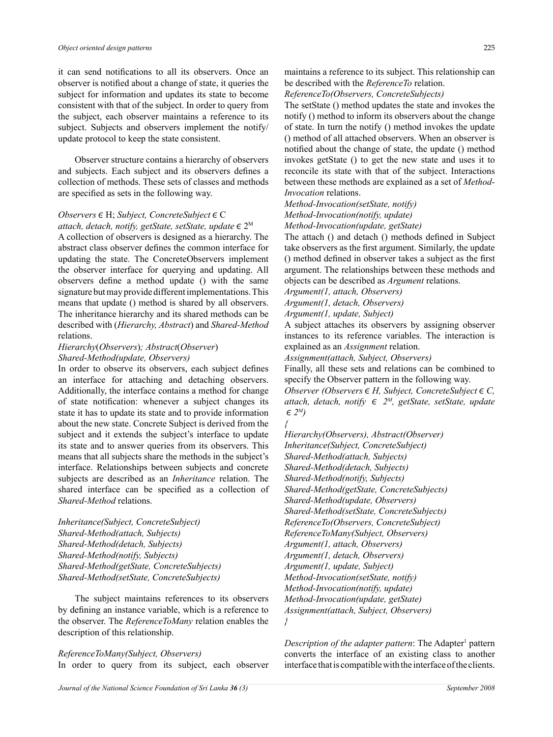it can send notifications to all its observers. Once an observer is notified about a change of state, it queries the subject for information and updates its state to become consistent with that of the subject. In order to query from the subject, each observer maintains a reference to its subject. Subjects and observers implement the notify/ update protocol to keep the state consistent.

Observer structure contains a hierarchy of observers and subjects. Each subject and its observers defines a collection of methods. These sets of classes and methods are specified as sets in the following way.

# *Observers*∊H; *Subject, ConcreteSubject*∊C

*attach, detach, notify, getState, setState, update*∊2M A collection of observers is designed as a hierarchy. The abstract class observer defines the common interface for updating the state. The ConcreteObservers implement the observer interface for querying and updating. All observers define a method update () with the same signature but may provide different implementations. This means that update () method is shared by all observers. The inheritance hierarchy and its shared methods can be described with (*Hierarchy, Abstract*) and *Shared-Method* relations.

# *Hierarchy*(*Observers*)*; Abstract*(*Observer*) *Shared-Method(update, Observers)*

In order to observe its observers, each subject defines an interface for attaching and detaching observers. Additionally, the interface contains a method for change of state notification: whenever a subject changes its state it has to update its state and to provide information about the new state. Concrete Subject is derived from the subject and it extends the subject's interface to update its state and to answer queries from its observers. This means that all subjects share the methods in the subject's interface. Relationships between subjects and concrete subjects are described as an *Inheritance* relation. The shared interface can be specified as a collection of *Shared-Method* relations.

*Inheritance(Subject, ConcreteSubject) Shared-Method(attach, Subjects) Shared-Method(detach, Subjects) Shared-Method(notify, Subjects) Shared-Method(getState, ConcreteSubjects) Shared-Method(setState, ConcreteSubjects)*

The subject maintains references to its observers by defining an instance variable, which is a reference to the observer. The *ReferenceToMany* relation enables the description of this relationship.

#### *ReferenceToMany(Subject, Observers)*

In order to query from its subject, each observer

maintains a reference to its subject. This relationship can be described with the *ReferenceTo* relation.

*ReferenceTo(Observers, ConcreteSubjects)*

The setState () method updates the state and invokes the notify () method to inform its observers about the change of state. In turn the notify () method invokes the update () method of all attached observers. When an observer is notified about the change of state, the update () method invokes getState () to get the new state and uses it to reconcile its state with that of the subject. Interactions between these methods are explained as a set of *Method-Invocation* relations.

*Method-Invocation(setState, notify) Method-Invocation(notify, update) Method-Invocation(update, getState)*

The attach () and detach () methods defined in Subject take observers as the first argument. Similarly, the update () method defined in observer takes a subject as the first argument. The relationships between these methods and objects can be described as *Argument* relations.

*Argument(1, attach, Observers)*

*Argument(1, detach, Observers)*

*Argument(1, update, Subject)*

A subject attaches its observers by assigning observer instances to its reference variables. The interaction is explained as an *Assignment* relation.

*Assignment(attach, Subject, Observers)*

Finally, all these sets and relations can be combined to specify the Observer pattern in the following way.

*Observer (Observers*∊*H, Subject, ConcreteSubject*∊*C, attach, detach, notify* ∊ *2M, getState, setState, update*   $\in 2^M$ *{* 

*Hierarchy(Observers), Abstract(Observer) Inheritance(Subject, ConcreteSubject) Shared-Method(attach, Subjects) Shared-Method(detach, Subjects) Shared-Method(notify, Subjects) Shared-Method(getState, ConcreteSubjects) Shared-Method(update, Observers) Shared-Method(setState, ConcreteSubjects) ReferenceTo(Observers, ConcreteSubject) ReferenceToMany(Subject, Observers) Argument(1, attach, Observers) Argument(1, detach, Observers) Argument(1, update, Subject) Method-Invocation(setState, notify) Method-Invocation(notify, update) Method-Invocation(update, getState) Assignment(attach, Subject, Observers)*

*}* 

Description of the adapter pattern: The Adapter<sup>1</sup> pattern converts the interface of an existing class to another interface that is compatible with the interface of the clients.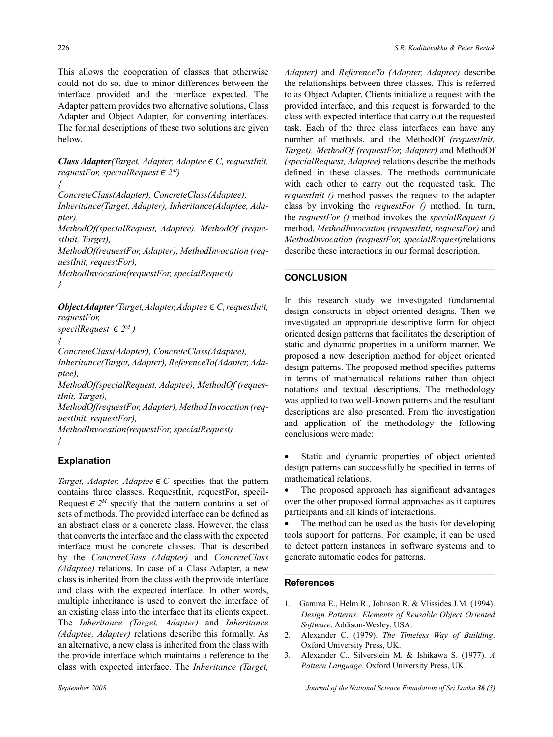This allows the cooperation of classes that otherwise could not do so, due to minor differences between the interface provided and the interface expected. The Adapter pattern provides two alternative solutions, Class Adapter and Object Adapter, for converting interfaces. The formal descriptions of these two solutions are given below.

*Class Adapter(Target, Adapter, Adaptee*∊*C, requestInit, requestFor, specialRequest*∊*2M)*

*{* 

*ConcreteClass(Adapter), ConcreteClass(Adaptee),* 

*Inheritance(Target, Adapter), Inheritance(Adaptee, Adapter),* 

*MethodOf(specialRequest, Adaptee), MethodOf (requestInit, Target),* 

*MethodOf(requestFor, Adapter), MethodInvocation (requestInit, requestFor),* 

*MethodInvocation(requestFor, specialRequest) }*

*Object Adapter (Target, Adapter, Adaptee*∊*C, requestInit, requestFor,* 

 $specilRequest \in 2^M$ ) *{* 

*ConcreteClass(Adapter), ConcreteClass(Adaptee),* 

*Inheritance(Target, Adapter), ReferenceTo(Adapter, Adaptee),* 

*MethodOf(specialRequest, Adaptee), MethodOf (requestInit, Target),* 

*MethodOf(requestFor, Adapter), Method Invocation (requestInit, requestFor),* 

*MethodInvocation(requestFor, specialRequest) }*

# **Explanation**

*Target, Adapter, Adaptee*  $\in$  *C* specifies that the pattern contains three classes. RequestInit, requestFor, specil-Request  $\in 2^M$  specify that the pattern contains a set of sets of methods. The provided interface can be defined as an abstract class or a concrete class. However, the class that converts the interface and the class with the expected interface must be concrete classes. That is described by the *ConcreteClass (Adapter)* and *ConcreteClass (Adaptee)* relations. In case of a Class Adapter, a new class is inherited from the class with the provide interface and class with the expected interface. In other words, multiple inheritance is used to convert the interface of an existing class into the interface that its clients expect. The *Inheritance (Target, Adapter)* and *Inheritance (Adaptee, Adapter)* relations describe this formally. As an alternative, a new class is inherited from the class with the provide interface which maintains a reference to the class with expected interface. The *Inheritance (Target,* 

*Adapter)* and *ReferenceTo (Adapter, Adaptee)* describe the relationships between three classes. This is referred to as Object Adapter. Clients initialize a request with the provided interface, and this request is forwarded to the class with expected interface that carry out the requested task. Each of the three class interfaces can have any number of methods, and the MethodOf *(requestInit, Target), MethodOf (requestFor, Adapter)* and MethodOf *(specialRequest, Adaptee)* relations describe the methods defined in these classes. The methods communicate with each other to carry out the requested task. The *requestInit ()* method passes the request to the adapter class by invoking the *requestFor ()* method. In turn, the *requestFor ()* method invokes the *specialRequest ()* method. *MethodInvocation (requestInit, requestFor)* and *MethodInvocation (requestFor, specialRequest)*relations describe these interactions in our formal description.

# **CONCLUSION**

In this research study we investigated fundamental design constructs in object-oriented designs. Then we investigated an appropriate descriptive form for object oriented design patterns that facilitates the description of static and dynamic properties in a uniform manner. We proposed a new description method for object oriented design patterns. The proposed method specifies patterns in terms of mathematical relations rather than object notations and textual descriptions. The methodology was applied to two well-known patterns and the resultant descriptions are also presented. From the investigation and application of the methodology the following conclusions were made:

Static and dynamic properties of object oriented design patterns can successfully be specified in terms of mathematical relations.

The proposed approach has significant advantages over the other proposed formal approaches as it captures participants and all kinds of interactions.

The method can be used as the basis for developing tools support for patterns. For example, it can be used to detect pattern instances in software systems and to generate automatic codes for patterns.

### **References**

- 1. Gamma E., Helm R., Johnson R. & Vlissides J.M. (1994). *Design Patterns: Elements of Reusable Object Oriented Software*. Addison-Wesley, USA.
- 2. Alexander C. (1979). *The Timeless Way of Building*. Oxford University Press, UK.
- 3. Alexander C., Silverstein M. & Ishikawa S. (1977). *A Pattern Language*. Oxford University Press, UK.